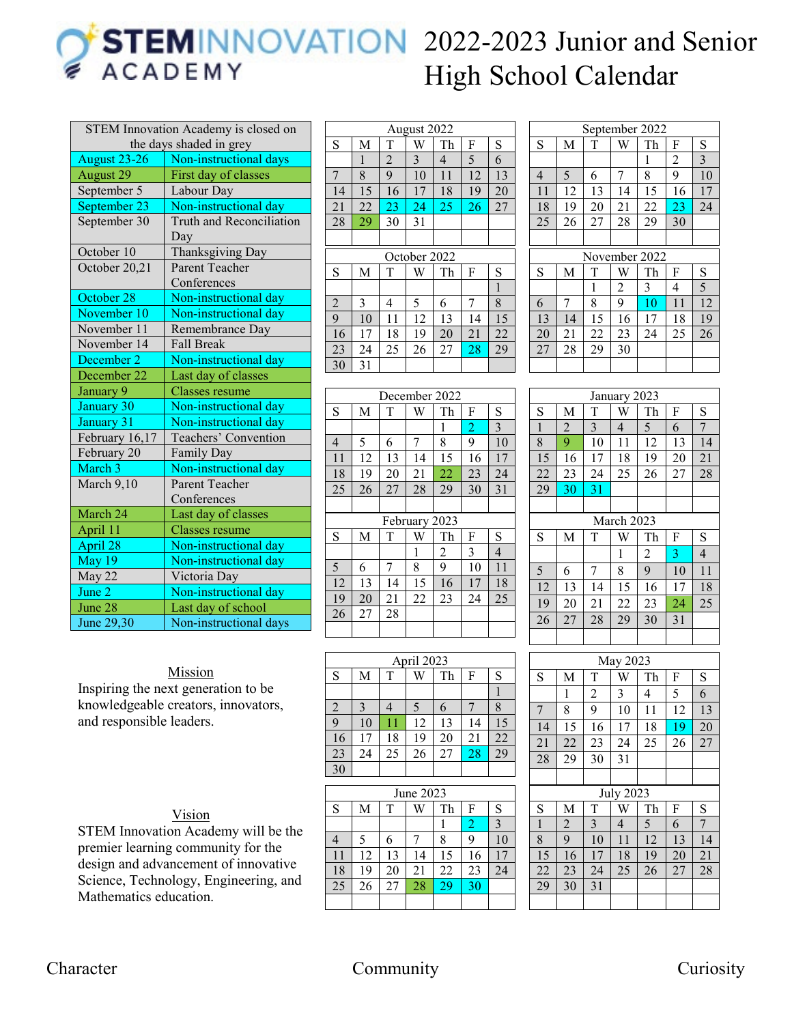## **STEMINNOVATION** 2022-2023 Junior and Senior **ACADEMY** High School Calendar

| <b>STEM Innovation Academy is closed on</b> |                                 |  |  |
|---------------------------------------------|---------------------------------|--|--|
|                                             | the days shaded in grey         |  |  |
| <b>August 23-26</b>                         | Non-instructional days          |  |  |
| August 29                                   | First day of classes            |  |  |
| September 5                                 | Labour Day                      |  |  |
| September 23                                | Non-instructional day           |  |  |
| September 30                                | <b>Truth and Reconciliation</b> |  |  |
|                                             | Day                             |  |  |
| October 10                                  | Thanksgiving Day                |  |  |
| October 20,21                               | Parent Teacher                  |  |  |
|                                             | Conferences                     |  |  |
| October 28                                  | Non-instructional day           |  |  |
| November 10                                 | Non-instructional day           |  |  |
| November 11                                 | Remembrance Day                 |  |  |
| November 14                                 | <b>Fall Break</b>               |  |  |
| December 2                                  | Non-instructional day           |  |  |
| December 22                                 | Last day of classes             |  |  |
| January 9                                   | <b>Classes</b> resume           |  |  |
| January 30                                  | Non-instructional day           |  |  |
| January 31                                  | Non-instructional day           |  |  |
| February 16,17                              | Teachers' Convention            |  |  |
| February 20                                 | Family Day                      |  |  |
| March 3                                     | Non-instructional day           |  |  |
| March 9,10                                  | Parent Teacher                  |  |  |
|                                             | Conferences                     |  |  |
| March 24                                    | Last day of classes             |  |  |
| April 11                                    | Classes resume                  |  |  |
| April 28                                    | Non-instructional day           |  |  |
| May 19                                      | Non-instructional day           |  |  |
| May 22                                      | Victoria Day                    |  |  |
| June 2                                      | Non-instructional day           |  |  |
| June 28                                     | Last day of school              |  |  |
| June 29,30                                  | Non-instructional days          |  |  |

| Mission |
|---------|
|         |

Inspiring the next generation to be knowledgeable creators, innovators, and responsible leaders.

| ۰. |  |
|----|--|
|    |  |
|    |  |

STEM Innovation Academy will be the premier learning community for the design and advancement of innovative Science, Technology, Engineering, and Mathematics education.

| August 2022    |    |                |              |                |    |              |
|----------------|----|----------------|--------------|----------------|----|--------------|
| S              | M  | T              | W            | Th             | F  | S            |
|                | 1  | $\overline{2}$ | 3            | $\overline{4}$ | 5  | 6            |
| 7              | 8  | 9              | 10           | 11             | 12 | 13           |
| 14             | 15 | 16             | 17           | 18             | 19 | 20           |
| 21             | 22 | 23             | 24           | 25             | 26 | 27           |
| 28             | 29 | 30             | 31           |                |    |              |
|                |    |                |              |                |    |              |
|                |    |                | October 2022 |                |    |              |
| S              | M  | T              | W            | Th             | F  | S            |
|                |    |                |              |                |    | $\mathbf{1}$ |
| $\overline{2}$ | 3  | 4              | 5            | 6              | 7  | 8            |
| $\overline{9}$ | 10 | 11             | 12           | 13             | 14 | 15           |
| 16             | 17 | 18             | 19           | 20             | 21 | 22           |
| 23             | 24 | 25             | 26           | 27             | 28 | 29           |
| 30             | 31 |                |              |                |    |              |

| December 2022 |    |    |               |                |                |                |
|---------------|----|----|---------------|----------------|----------------|----------------|
| S             | M  | T  | W             | Th             | F              | S              |
|               |    |    |               | 1              | $\overline{2}$ | $\overline{3}$ |
| 4             | 5  | 6  | 7             | 8              | 9              | 10             |
| 11            | 12 | 13 | 14            | 15             | 16             | 17             |
| 18            | 19 | 20 | 21            | 22             | 23             | 24             |
| 25            | 26 | 27 | 28            | 29             | 30             | 31             |
|               |    |    |               |                |                |                |
|               |    |    |               |                |                |                |
|               |    |    | February 2023 |                |                |                |
| S             | M  | T  | W             | Th             | F              | S              |
|               |    |    | 1             | $\overline{2}$ | 3              | 4              |
| 5             | 6  | 7  | 8             | 9              | 10             | 11             |
| 12            | 13 | 14 | 15            | 16             | 17             | 18             |
| 19            | 20 | 21 | 22            | 23             | 24             | 25             |
| 26            | 27 | 28 |               |                |                |                |

| April 2023     |    |    |    |    |    |                 |  |
|----------------|----|----|----|----|----|-----------------|--|
| S              | M  | T  |    | Th | F  | S               |  |
|                |    |    |    |    |    |                 |  |
| $\overline{c}$ |    |    |    | 6  |    |                 |  |
| $\overline{9}$ | 10 |    | 12 | 13 |    | 15              |  |
| 16             | 17 | 18 | 19 | 20 | 21 | 22              |  |
| 23             | 24 | 25 | 26 | 27 | 28 | $\overline{29}$ |  |
| 30             |    |    |    |    |    |                 |  |

| June 2023   |    |    |    |    |    |    |
|-------------|----|----|----|----|----|----|
| $\mathbf S$ | M  | T  |    | Th | F  | S  |
|             |    |    |    |    | 2  | 3  |
| 4           | 5  | 6  |    | 8  | 9  | 10 |
| 11          | 12 | 13 | 14 | 15 | 16 | 17 |
| 18          | 19 | 20 | 21 | 22 | 23 | 24 |
| 25          | 26 | 27 | 28 | 29 | 30 |    |
|             |    |    |    |    |    |    |

| September 2022 |    |    |    |               |    |    |
|----------------|----|----|----|---------------|----|----|
| S              | M  | T  | W  | Th            | F  | S  |
|                |    |    |    | 1             | 2  | 3  |
| $\overline{4}$ | 5  | 6  | 7  | 8             | 9  | 10 |
| 11             | 12 | 13 | 14 | 15            | 16 | 17 |
| 18             | 19 | 20 | 21 | 22            | 23 | 24 |
| 25             | 26 | 27 | 28 | 29            | 30 |    |
|                |    |    |    |               |    |    |
|                |    |    |    |               |    |    |
|                |    |    |    | November 2022 |    |    |
| S              | М  | T  | W  | Th            | F  | S  |
|                |    | 1  | 2  | 3             | 4  | 5  |
| 6              | 7  | 8  | 9  | 10            | 11 | 12 |
| 13             | 14 | 15 | 16 | 17            | 18 | 19 |
| 20             | 21 | 22 | 23 | 24            | 25 | 26 |
| 27             | 28 | 29 | 30 |               |    |    |

| January 2023    |          |    |              |                |    |                |
|-----------------|----------|----|--------------|----------------|----|----------------|
| S               | M        | T  | W            | Th             | F  | S              |
| $\mathbf{1}$    | 2        | 3  | 4            | 5              | 6  | 7              |
| 8               | 9        | 10 | 11           | 12             | 13 | 14             |
| $\overline{15}$ | 16       | 17 | 18           | 19             | 20 | 21             |
| 22              | 23       | 24 | 25           | 26             | 27 | 28             |
| 29              | 30       | 31 |              |                |    |                |
|                 |          |    |              |                |    |                |
|                 |          |    | March 2023   |                |    |                |
| S               | M        | T  | W            | Th             | F  | S              |
|                 |          |    | $\mathbf{1}$ | $\overline{c}$ | 3  | $\overline{4}$ |
| 5               | 6        | 7  | 8            | 9              | 10 | 11             |
| 12              | 13       | 14 | 15           | 16             | 17 | 18             |
| 19              | 20       | 21 | 22           | 23             | 24 | 25             |
| 26              | 27       | 28 | 29           | 30             | 31 |                |
|                 |          |    |              |                |    |                |
|                 | May 2023 |    |              |                |    |                |
|                 |          |    |              |                |    |                |
| S               | M        | T  | W            | Th             | F  | S              |
|                 | 1        | C  | 2            | $\Lambda$      | 5  | ĥ              |

| $1$ vla y $202J$ |                |                |    |                  |    |
|------------------|----------------|----------------|----|------------------|----|
| M                | T              | W              | Th | F                | S  |
| 1                | $\overline{c}$ | 3              | 4  | 5                | 6  |
| 8                | 9              | 10             | 11 | 12               | 13 |
| 15               | 16             | 17             | 18 | 19               | 20 |
| 22               | 23             | 24             | 25 | 26               | 27 |
| 29               | 30             | 31             |    |                  |    |
|                  |                |                |    |                  |    |
|                  |                |                |    |                  |    |
| M                | T              | W              | Th | F                | S  |
| $\overline{2}$   | 3              | $\overline{4}$ | 5  | 6                | 7  |
| 9                | 10             | 11             | 12 | 13               | 14 |
| 16               | 17             | 18             | 19 | 20               | 21 |
| 23               | 24             | 25             | 26 | 27               | 28 |
| 30               | 31             |                |    |                  |    |
|                  |                |                |    |                  |    |
|                  |                |                |    | <b>July 2023</b> |    |